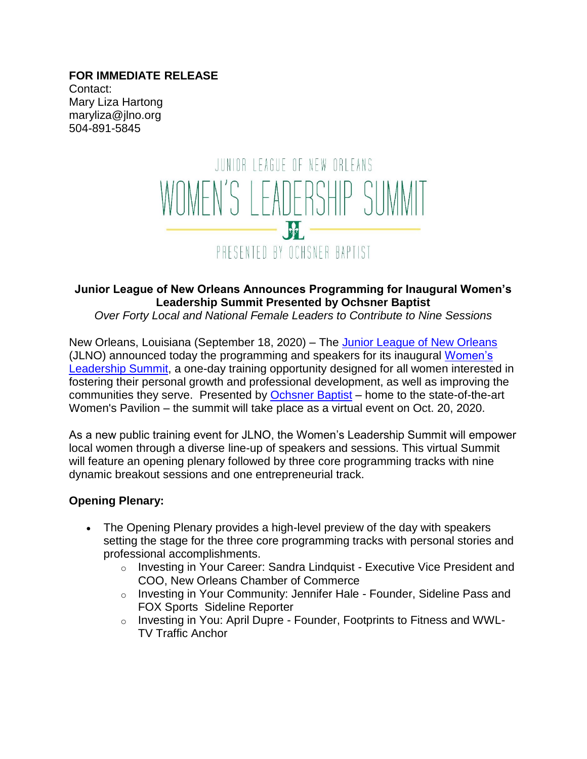#### **FOR IMMEDIATE RELEASE** Contact: Mary Liza Hartong maryliza@jlno.org 504-891-5845



## **Junior League of New Orleans Announces Programming for Inaugural Women's Leadership Summit Presented by Ochsner Baptist**

#### *Over Forty Local and National Female Leaders to Contribute to Nine Sessions*

New Orleans, Louisiana (September 18, 2020) – The [Junior League of New Orleans](http://www.jlno.org/) (JLNO) announced today the programming and speakers for its inaugural [Women's](http://www.jlno.org/wls)  [Leadership Summit,](http://www.jlno.org/wls) a one-day training opportunity designed for all women interested in fostering their personal growth and professional development, as well as improving the communities they serve. Presented by [Ochsner Baptist](https://www.ochsner.org/locations/ochsner-baptist?utm_source=YextGoogle&utm_medium=Yext) – home to the state-of-the-art Women's Pavilion – the summit will take place as a virtual event on Oct. 20, 2020.

As a new public training event for JLNO, the Women's Leadership Summit will empower local women through a diverse line-up of speakers and sessions. This virtual Summit will feature an opening plenary followed by three core programming tracks with nine dynamic breakout sessions and one entrepreneurial track.

### **Opening Plenary:**

- The Opening Plenary provides a high-level preview of the day with speakers setting the stage for the three core programming tracks with personal stories and professional accomplishments.
	- $\circ$  Investing in Your Career: Sandra Lindquist Executive Vice President and COO, New Orleans Chamber of Commerce
	- o Investing in Your Community: Jennifer Hale Founder, Sideline Pass and FOX Sports Sideline Reporter
	- o Investing in You: April Dupre Founder, Footprints to Fitness and WWL-TV Traffic Anchor